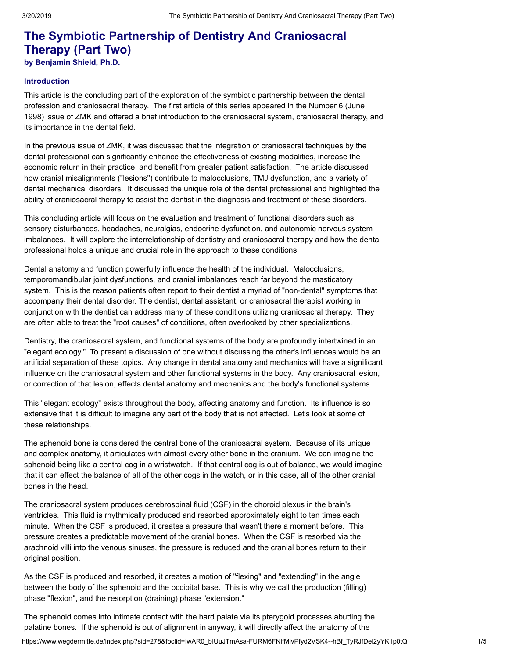# **The Symbiotic Partnership of Dentistry And Craniosacral Therapy (Part Two)**

**by Benjamin Shield, Ph.D.**

## **Introduction**

This article is the concluding part of the exploration of the symbiotic partnership between the dental profession and craniosacral therapy. The first article of this series appeared in the Number 6 (June 1998) issue of ZMK and offered a brief introduction to the craniosacral system, craniosacral therapy, and its importance in the dental field.

In the previous issue of ZMK, it was discussed that the integration of craniosacral techniques by the dental professional can significantly enhance the effectiveness of existing modalities, increase the economic return in their practice, and benefit from greater patient satisfaction. The article discussed how cranial misalignments ("lesions") contribute to malocclusions, TMJ dysfunction, and a variety of dental mechanical disorders. It discussed the unique role of the dental professional and highlighted the ability of craniosacral therapy to assist the dentist in the diagnosis and treatment of these disorders.

This concluding article will focus on the evaluation and treatment of functional disorders such as sensory disturbances, headaches, neuralgias, endocrine dysfunction, and autonomic nervous system imbalances. It will explore the interrelationship of dentistry and craniosacral therapy and how the dental professional holds a unique and crucial role in the approach to these conditions.

Dental anatomy and function powerfully influence the health of the individual. Malocclusions, temporomandibular joint dysfunctions, and cranial imbalances reach far beyond the masticatory system. This is the reason patients often report to their dentist a myriad of "non-dental" symptoms that accompany their dental disorder. The dentist, dental assistant, or craniosacral therapist working in conjunction with the dentist can address many of these conditions utilizing craniosacral therapy. They are often able to treat the "root causes" of conditions, often overlooked by other specializations.

Dentistry, the craniosacral system, and functional systems of the body are profoundly intertwined in an "elegant ecology." To present a discussion of one without discussing the other's influences would be an artificial separation of these topics. Any change in dental anatomy and mechanics will have a significant influence on the craniosacral system and other functional systems in the body. Any craniosacral lesion, or correction of that lesion, effects dental anatomy and mechanics and the body's functional systems.

This "elegant ecology" exists throughout the body, affecting anatomy and function. Its influence is so extensive that it is difficult to imagine any part of the body that is not affected. Let's look at some of these relationships.

The sphenoid bone is considered the central bone of the craniosacral system. Because of its unique and complex anatomy, it articulates with almost every other bone in the cranium. We can imagine the sphenoid being like a central cog in a wristwatch. If that central cog is out of balance, we would imagine that it can effect the balance of all of the other cogs in the watch, or in this case, all of the other cranial bones in the head.

The craniosacral system produces cerebrospinal fluid (CSF) in the choroid plexus in the brain's ventricles. This fluid is rhythmically produced and resorbed approximately eight to ten times each minute. When the CSF is produced, it creates a pressure that wasn't there a moment before. This pressure creates a predictable movement of the cranial bones. When the CSF is resorbed via the arachnoid villi into the venous sinuses, the pressure is reduced and the cranial bones return to their original position.

As the CSF is produced and resorbed, it creates a motion of "flexing" and "extending" in the angle between the body of the sphenoid and the occipital base. This is why we call the production (filling) phase "flexion", and the resorption (draining) phase "extension."

The sphenoid comes into intimate contact with the hard palate via its pterygoid processes abutting the palatine bones. If the sphenoid is out of alignment in anyway, it will directly affect the anatomy of the

https://www.wegdermitte.de/index.php?sid=278&fbclid=IwAR0\_bIUuJTmAsa-FURM6FNlfMivPfyd2VSK4--hBf\_TyRJfDel2yYK1p0tQ 1/5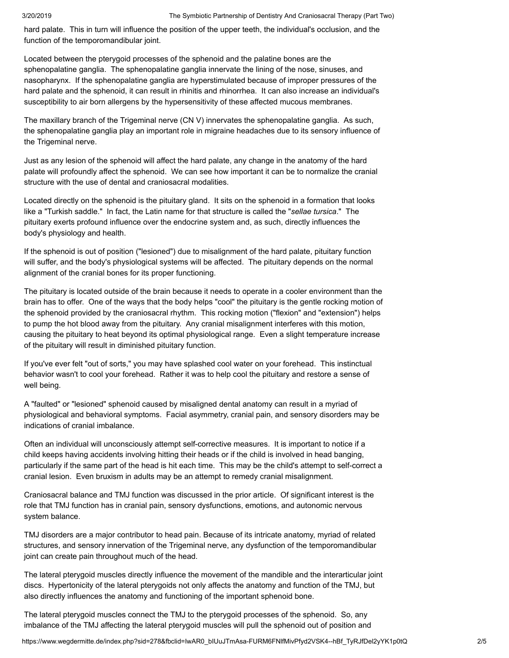hard palate. This in turn will influence the position of the upper teeth, the individual's occlusion, and the function of the temporomandibular joint.

Located between the pterygoid processes of the sphenoid and the palatine bones are the sphenopalatine ganglia. The sphenopalatine ganglia innervate the lining of the nose, sinuses, and nasopharynx. If the sphenopalatine ganglia are hyperstimulated because of improper pressures of the hard palate and the sphenoid, it can result in rhinitis and rhinorrhea. It can also increase an individual's susceptibility to air born allergens by the hypersensitivity of these affected mucous membranes.

The maxillary branch of the Trigeminal nerve (CN V) innervates the sphenopalatine ganglia. As such, the sphenopalatine ganglia play an important role in migraine headaches due to its sensory influence of the Trigeminal nerve.

Just as any lesion of the sphenoid will affect the hard palate, any change in the anatomy of the hard palate will profoundly affect the sphenoid. We can see how important it can be to normalize the cranial structure with the use of dental and craniosacral modalities.

Located directly on the sphenoid is the pituitary gland. It sits on the sphenoid in a formation that looks like a "Turkish saddle." In fact, the Latin name for that structure is called the "*sellae tursica*." The pituitary exerts profound influence over the endocrine system and, as such, directly influences the body's physiology and health.

If the sphenoid is out of position ("lesioned") due to misalignment of the hard palate, pituitary function will suffer, and the body's physiological systems will be affected. The pituitary depends on the normal alignment of the cranial bones for its proper functioning.

The pituitary is located outside of the brain because it needs to operate in a cooler environment than the brain has to offer. One of the ways that the body helps "cool" the pituitary is the gentle rocking motion of the sphenoid provided by the craniosacral rhythm. This rocking motion ("flexion" and "extension") helps to pump the hot blood away from the pituitary. Any cranial misalignment interferes with this motion, causing the pituitary to heat beyond its optimal physiological range. Even a slight temperature increase of the pituitary will result in diminished pituitary function.

If you've ever felt "out of sorts," you may have splashed cool water on your forehead. This instinctual behavior wasn't to cool your forehead. Rather it was to help cool the pituitary and restore a sense of well being.

A "faulted" or "lesioned" sphenoid caused by misaligned dental anatomy can result in a myriad of physiological and behavioral symptoms. Facial asymmetry, cranial pain, and sensory disorders may be indications of cranial imbalance.

Often an individual will unconsciously attempt self-corrective measures. It is important to notice if a child keeps having accidents involving hitting their heads or if the child is involved in head banging, particularly if the same part of the head is hit each time. This may be the child's attempt to self-correct a cranial lesion. Even bruxism in adults may be an attempt to remedy cranial misalignment.

Craniosacral balance and TMJ function was discussed in the prior article. Of significant interest is the role that TMJ function has in cranial pain, sensory dysfunctions, emotions, and autonomic nervous system balance.

TMJ disorders are a major contributor to head pain. Because of its intricate anatomy, myriad of related structures, and sensory innervation of the Trigeminal nerve, any dysfunction of the temporomandibular joint can create pain throughout much of the head.

The lateral pterygoid muscles directly influence the movement of the mandible and the interarticular joint discs. Hypertonicity of the lateral pterygoids not only affects the anatomy and function of the TMJ, but also directly influences the anatomy and functioning of the important sphenoid bone.

The lateral pterygoid muscles connect the TMJ to the pterygoid processes of the sphenoid. So, any imbalance of the TMJ affecting the lateral pterygoid muscles will pull the sphenoid out of position and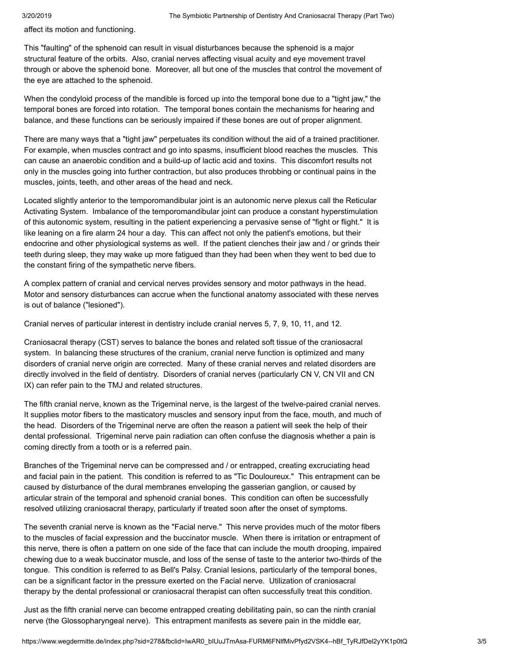affect its motion and functioning.

This "faulting" of the sphenoid can result in visual disturbances because the sphenoid is a major structural feature of the orbits. Also, cranial nerves affecting visual acuity and eye movement travel through or above the sphenoid bone. Moreover, all but one of the muscles that control the movement of the eye are attached to the sphenoid.

When the condyloid process of the mandible is forced up into the temporal bone due to a "tight jaw," the temporal bones are forced into rotation. The temporal bones contain the mechanisms for hearing and balance, and these functions can be seriously impaired if these bones are out of proper alignment.

There are many ways that a "tight jaw" perpetuates its condition without the aid of a trained practitioner. For example, when muscles contract and go into spasms, insufficient blood reaches the muscles. This can cause an anaerobic condition and a build-up of lactic acid and toxins. This discomfort results not only in the muscles going into further contraction, but also produces throbbing or continual pains in the muscles, joints, teeth, and other areas of the head and neck.

Located slightly anterior to the temporomandibular joint is an autonomic nerve plexus call the Reticular Activating System. Imbalance of the temporomandibular joint can produce a constant hyperstimulation of this autonomic system, resulting in the patient experiencing a pervasive sense of "fight or flight." It is like leaning on a fire alarm 24 hour a day. This can affect not only the patient's emotions, but their endocrine and other physiological systems as well. If the patient clenches their jaw and / or grinds their teeth during sleep, they may wake up more fatigued than they had been when they went to bed due to the constant firing of the sympathetic nerve fibers.

A complex pattern of cranial and cervical nerves provides sensory and motor pathways in the head. Motor and sensory disturbances can accrue when the functional anatomy associated with these nerves is out of balance ("lesioned").

Cranial nerves of particular interest in dentistry include cranial nerves 5, 7, 9, 10, 11, and 12.

Craniosacral therapy (CST) serves to balance the bones and related soft tissue of the craniosacral system. In balancing these structures of the cranium, cranial nerve function is optimized and many disorders of cranial nerve origin are corrected. Many of these cranial nerves and related disorders are directly involved in the field of dentistry. Disorders of cranial nerves (particularly CN V, CN VII and CN IX) can refer pain to the TMJ and related structures.

The fifth cranial nerve, known as the Trigeminal nerve, is the largest of the twelve-paired cranial nerves. It supplies motor fibers to the masticatory muscles and sensory input from the face, mouth, and much of the head. Disorders of the Trigeminal nerve are often the reason a patient will seek the help of their dental professional. Trigeminal nerve pain radiation can often confuse the diagnosis whether a pain is coming directly from a tooth or is a referred pain.

Branches of the Trigeminal nerve can be compressed and / or entrapped, creating excruciating head and facial pain in the patient. This condition is referred to as "Tic Douloureux." This entrapment can be caused by disturbance of the dural membranes enveloping the gasserian ganglion, or caused by articular strain of the temporal and sphenoid cranial bones. This condition can often be successfully resolved utilizing craniosacral therapy, particularly if treated soon after the onset of symptoms.

The seventh cranial nerve is known as the "Facial nerve." This nerve provides much of the motor fibers to the muscles of facial expression and the buccinator muscle. When there is irritation or entrapment of this nerve, there is often a pattern on one side of the face that can include the mouth drooping, impaired chewing due to a weak buccinator muscle, and loss of the sense of taste to the anterior two-thirds of the tongue. This condition is referred to as Bell's Palsy. Cranial lesions, particularly of the temporal bones, can be a significant factor in the pressure exerted on the Facial nerve. Utilization of craniosacral therapy by the dental professional or craniosacral therapist can often successfully treat this condition.

Just as the fifth cranial nerve can become entrapped creating debilitating pain, so can the ninth cranial nerve (the Glossopharyngeal nerve). This entrapment manifests as severe pain in the middle ear,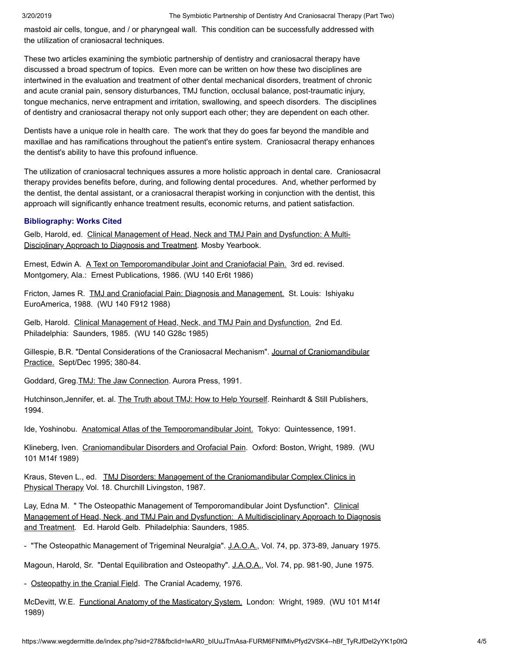mastoid air cells, tongue, and / or pharyngeal wall. This condition can be successfully addressed with the utilization of craniosacral techniques.

These two articles examining the symbiotic partnership of dentistry and craniosacral therapy have discussed a broad spectrum of topics. Even more can be written on how these two disciplines are intertwined in the evaluation and treatment of other dental mechanical disorders, treatment of chronic and acute cranial pain, sensory disturbances, TMJ function, occlusal balance, post-traumatic injury, tongue mechanics, nerve entrapment and irritation, swallowing, and speech disorders. The disciplines of dentistry and craniosacral therapy not only support each other; they are dependent on each other.

Dentists have a unique role in health care. The work that they do goes far beyond the mandible and maxillae and has ramifications throughout the patient's entire system. Craniosacral therapy enhances the dentist's ability to have this profound influence.

The utilization of craniosacral techniques assures a more holistic approach in dental care. Craniosacral therapy provides benefits before, during, and following dental procedures. And, whether performed by the dentist, the dental assistant, or a craniosacral therapist working in conjunction with the dentist, this approach will significantly enhance treatment results, economic returns, and patient satisfaction.

### **Bibliography: Works Cited**

Gelb, Harold, ed. Clinical Management of Head, Neck and TMJ Pain and Dysfunction: A Multi-Disciplinary Approach to Diagnosis and Treatment. Mosby Yearbook.

Ernest, Edwin A. A Text on Temporomandibular Joint and Craniofacial Pain. 3rd ed. revised. Montgomery, Ala.: Ernest Publications, 1986. (WU 140 Er6t 1986)

Fricton, James R. TMJ and Craniofacial Pain: Diagnosis and Management. St. Louis: Ishiyaku EuroAmerica, 1988. (WU 140 F912 1988)

Gelb, Harold. Clinical Management of Head, Neck, and TMJ Pain and Dysfunction. 2nd Ed. Philadelphia: Saunders, 1985. (WU 140 G28c 1985)

Gillespie, B.R. "Dental Considerations of the Craniosacral Mechanism". Journal of Craniomandibular Practice. Sept/Dec 1995; 380-84.

Goddard, Greg.TMJ: The Jaw Connection. Aurora Press, 1991.

Hutchinson,Jennifer, et. al. The Truth about TMJ: How to Help Yourself. Reinhardt & Still Publishers, 1994.

Ide, Yoshinobu. Anatomical Atlas of the Temporomandibular Joint. Tokyo: Quintessence, 1991.

Klineberg, Iven. Craniomandibular Disorders and Orofacial Pain. Oxford: Boston, Wright, 1989. (WU 101 M14f 1989)

Kraus, Steven L., ed. TMJ Disorders: Management of the Craniomandibular Complex.Clinics in Physical Therapy Vol. 18. Churchill Livingston, 1987.

Lay, Edna M. " The Osteopathic Management of Temporomandibular Joint Dysfunction". Clinical Management of Head, Neck, and TMJ Pain and Dysfunction: A Multidisciplinary Approach to Diagnosis and Treatment. Ed. Harold Gelb. Philadelphia: Saunders, 1985.

- "The Osteopathic Management of Trigeminal Neuralgia". J.A.O.A., Vol. 74, pp. 373-89, January 1975.

Magoun, Harold, Sr. "Dental Equilibration and Osteopathy". J.A.O.A., Vol. 74, pp. 981-90, June 1975.

- Osteopathy in the Cranial Field. The Cranial Academy, 1976.

McDevitt, W.E. Functional Anatomy of the Masticatory System. London: Wright, 1989. (WU 101 M14f 1989)